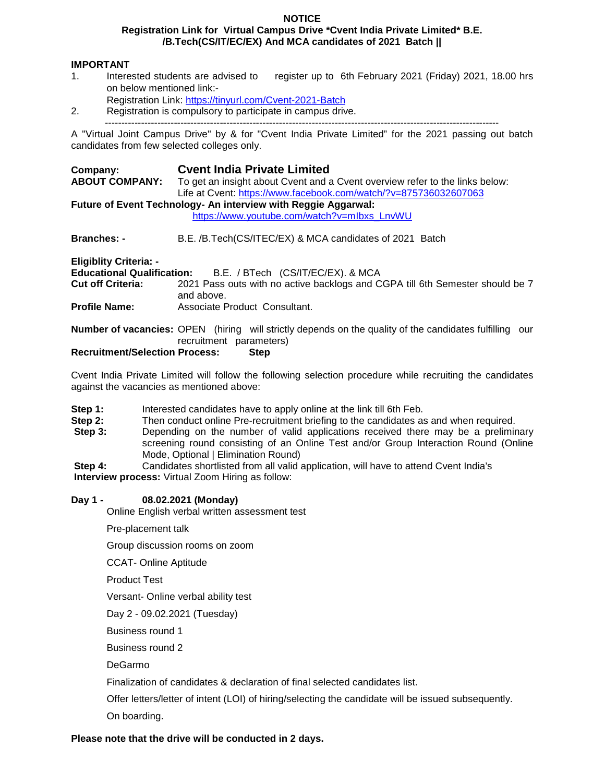#### **NOTICE Registration Link for Virtual Campus Drive \*Cvent India Private Limited\* B.E. /B.Tech(CS/IT/EC/EX) And MCA candidates of 2021 Batch ||**

- **IMPORTANT**<br>1. Interested students are advised to 1. Interested students are advised to register up to 6th February 2021 (Friday) 2021, 18.00 hrs on below mentioned link:-
	- Registration Link: https://tinyurl.com/Cvent-2021-Batch
- 2. Registration is compulsory to participate in campus drive. ------------------------------------------------------------------------------------------------------------------------

A "Virtual Joint Campus Drive" by & for "Cvent India Private Limited" for the 2021 passing out batch candidates from few selected colleges only.

| Company:<br><b>ABOUT COMPANY:</b>                              | <b>Cyent India Private Limited</b><br>To get an insight about Cvent and a Cvent overview refer to the links below:<br>Life at Cvent: https://www.facebook.com/watch/?v=875736032607063 |
|----------------------------------------------------------------|----------------------------------------------------------------------------------------------------------------------------------------------------------------------------------------|
| Future of Event Technology- An interview with Reggie Aggarwal: |                                                                                                                                                                                        |
|                                                                | https://www.youtube.com/watch?v=mlbxs LnvWU                                                                                                                                            |
| <b>Branches: -</b>                                             | B.E. /B.Tech(CS/ITEC/EX) & MCA candidates of 2021 Batch                                                                                                                                |
| <b>Eligiblity Criteria: -</b>                                  |                                                                                                                                                                                        |
|                                                                | Educational Qualification: B.E. / BTech (CS/IT/EC/EX). & MCA                                                                                                                           |
| <b>Cut off Criteria:</b>                                       | 2021 Pass outs with no active backlogs and CGPA till 6th Semester should be 7<br>and above.                                                                                            |
| <b>Profile Name:</b>                                           | Associate Product Consultant.                                                                                                                                                          |
|                                                                | <b>Number of vacancies:</b> OPEN (hiring will strictly depends on the quality of the candidates fulfilling our<br>recruitment parameters)                                              |
| <b>Recruitment/Selection Process:</b>                          | <b>Step</b>                                                                                                                                                                            |

Cvent India Private Limited will follow the following selection procedure while recruiting the candidates against the vacancies as mentioned above:

- **Step 1:** Interested candidates have to apply online at the link till 6th Feb.
- **Step 2:** Then conduct online Pre-recruitment briefing to the candidates as and when required.<br>**Step 3:** Depending on the number of valid applications received there may be a preliminent
- **Step 3:** Depending on the number of valid applications received there may be a preliminary screening round consisting of an Online Test and/or Group Interaction Round (Online Mode, Optional | Elimination Round)
- **Step 4:** Candidates shortlisted from all valid application, will have to attend Cvent India's **Interview process:** Virtual Zoom Hiring as follow:

## **Day 1 - 08.02.2021 (Monday)**

Online English verbal written assessment test

Pre-placement talk

Group discussion rooms on zoom

CCAT- Online Aptitude

Product Test

Versant- Online verbal ability test

Day 2 - 09.02.2021 (Tuesday)

Business round 1

Business round 2

DeGarmo

Finalization of candidates & declaration of final selected candidates list.

Offer letters/letter of intent (LOI) of hiring/selecting the candidate will be issued subsequently.

On boarding.

## **Please note that the drive will be conducted in 2 days.**